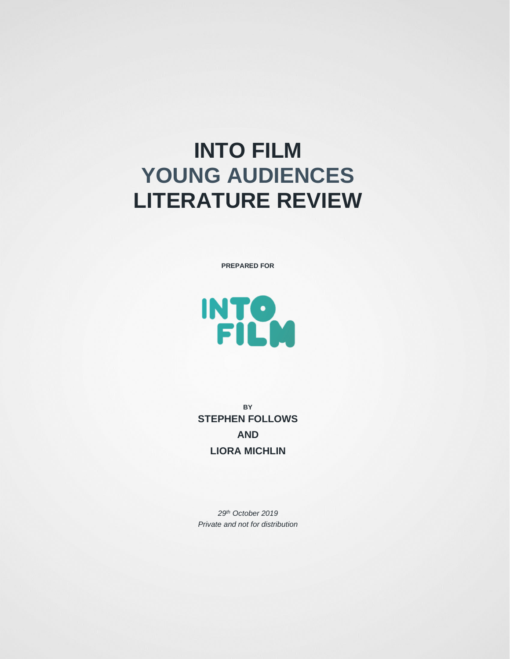# **INTO FILM YOUNG AUDIENCES LITERATURE REVIEW**

**PREPARED FOR**



**BY STEPHEN FOLLOWS AND LIORA MICHLIN**

*29th October 2019 Private and not for distribution*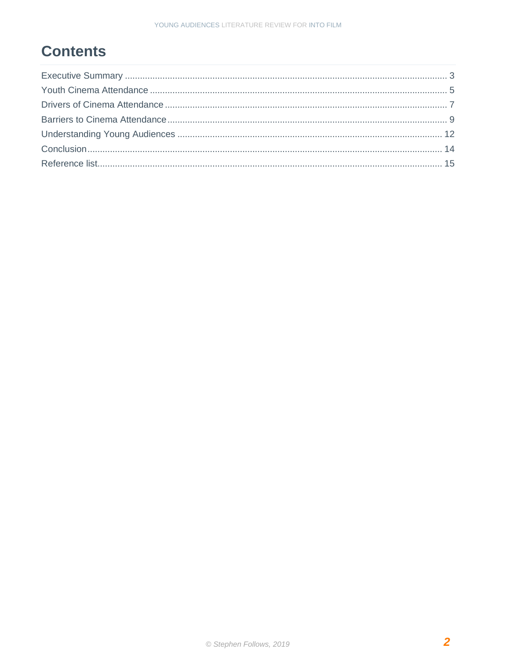# **Contents**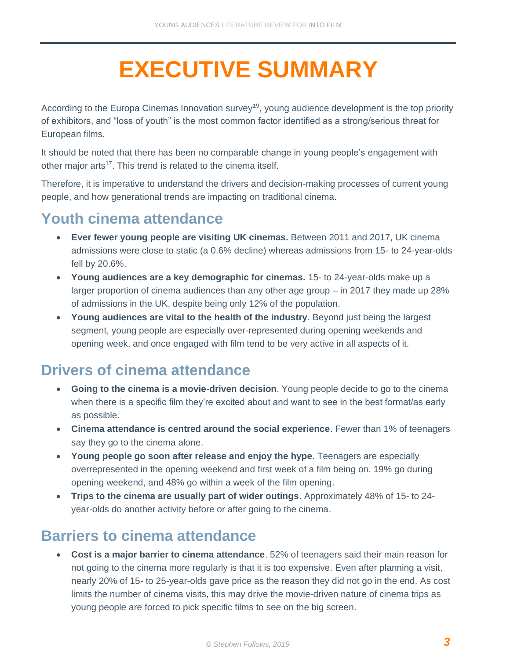# <span id="page-2-0"></span>**EXECUTIVE SUMMARY**

According to the Europa Cinemas Innovation survey<sup>19</sup>, young audience development is the top priority of exhibitors, and "loss of youth" is the most common factor identified as a strong/serious threat for European films.

It should be noted that there has been no comparable change in young people's engagement with other major arts<sup>17</sup>. This trend is related to the cinema itself.

Therefore, it is imperative to understand the drivers and decision-making processes of current young people, and how generational trends are impacting on traditional cinema.

### **Youth cinema attendance**

- **Ever fewer young people are visiting UK cinemas.** Between 2011 and 2017, UK cinema admissions were close to static (a 0.6% decline) whereas admissions from 15- to 24-year-olds fell by 20.6%.
- **Young audiences are a key demographic for cinemas.** 15- to 24-year-olds make up a larger proportion of cinema audiences than any other age group – in 2017 they made up 28% of admissions in the UK, despite being only 12% of the population.
- **Young audiences are vital to the health of the industry**. Beyond just being the largest segment, young people are especially over-represented during opening weekends and opening week, and once engaged with film tend to be very active in all aspects of it.

## **Drivers of cinema attendance**

- **Going to the cinema is a movie-driven decision**. Young people decide to go to the cinema when there is a specific film they're excited about and want to see in the best format/as early as possible.
- **Cinema attendance is centred around the social experience**. Fewer than 1% of teenagers say they go to the cinema alone.
- **Young people go soon after release and enjoy the hype**. Teenagers are especially overrepresented in the opening weekend and first week of a film being on. 19% go during opening weekend, and 48% go within a week of the film opening.
- **Trips to the cinema are usually part of wider outings**. Approximately 48% of 15- to 24 year-olds do another activity before or after going to the cinema.

## **Barriers to cinema attendance**

• **Cost is a major barrier to cinema attendance**. 52% of teenagers said their main reason for not going to the cinema more regularly is that it is too expensive. Even after planning a visit, nearly 20% of 15- to 25-year-olds gave price as the reason they did not go in the end. As cost limits the number of cinema visits, this may drive the movie-driven nature of cinema trips as young people are forced to pick specific films to see on the big screen.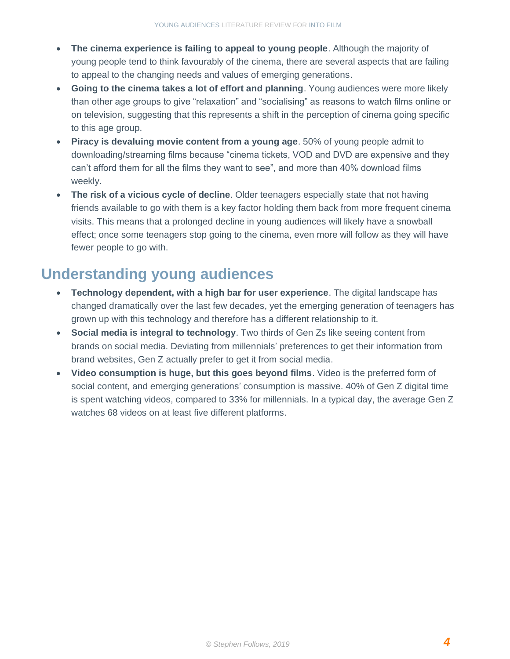- **The cinema experience is failing to appeal to young people**. Although the majority of young people tend to think favourably of the cinema, there are several aspects that are failing to appeal to the changing needs and values of emerging generations.
- **Going to the cinema takes a lot of effort and planning**. Young audiences were more likely than other age groups to give "relaxation" and "socialising" as reasons to watch films online or on television, suggesting that this represents a shift in the perception of cinema going specific to this age group.
- **Piracy is devaluing movie content from a young age**. 50% of young people admit to downloading/streaming films because "cinema tickets, VOD and DVD are expensive and they can't afford them for all the films they want to see", and more than 40% download films weekly.
- **The risk of a vicious cycle of decline**. Older teenagers especially state that not having friends available to go with them is a key factor holding them back from more frequent cinema visits. This means that a prolonged decline in young audiences will likely have a snowball effect; once some teenagers stop going to the cinema, even more will follow as they will have fewer people to go with.

## **Understanding young audiences**

- **Technology dependent, with a high bar for user experience**. The digital landscape has changed dramatically over the last few decades, yet the emerging generation of teenagers has grown up with this technology and therefore has a different relationship to it.
- **Social media is integral to technology**. Two thirds of Gen Zs like seeing content from brands on social media. Deviating from millennials' preferences to get their information from brand websites, Gen Z actually prefer to get it from social media.
- **Video consumption is huge, but this goes beyond films**. Video is the preferred form of social content, and emerging generations' consumption is massive. 40% of Gen Z digital time is spent watching videos, compared to 33% for millennials. In a typical day, the average Gen Z watches 68 videos on at least five different platforms.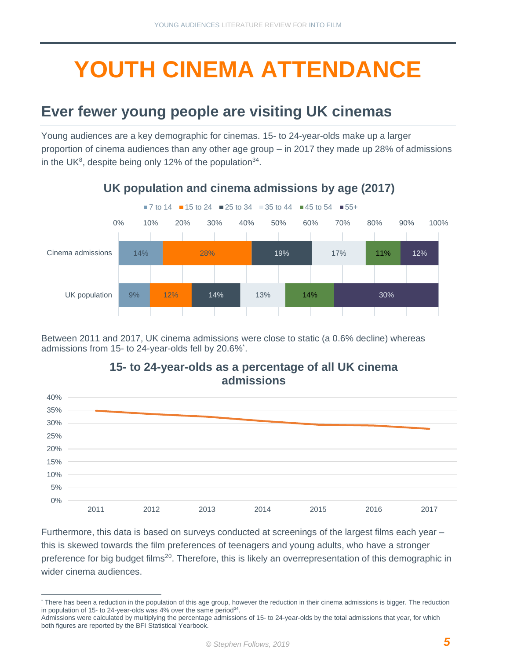# <span id="page-4-0"></span>**YOUTH CINEMA ATTENDANCE**

### **Ever fewer young people are visiting UK cinemas**

Young audiences are a key demographic for cinemas. 15- to 24-year-olds make up a larger proportion of cinema audiences than any other age group – in 2017 they made up 28% of admissions in the UK<sup>8</sup>, despite being only 12% of the population<sup>34</sup>.



#### **UK population and cinema admissions by age (2017)**

Between 2011 and 2017, UK cinema admissions were close to static (a 0.6% decline) whereas admissions from 15- to 24-year-olds fell by 20.6%<sup>\*</sup>.



**15- to 24-year-olds as a percentage of all UK cinema admissions**

Furthermore, this data is based on surveys conducted at screenings of the largest films each year – this is skewed towards the film preferences of teenagers and young adults, who have a stronger preference for big budget films<sup>20</sup>. Therefore, this is likely an overrepresentation of this demographic in wider cinema audiences.

<sup>\*</sup> There has been a reduction in the population of this age group, however the reduction in their cinema admissions is bigger. The reduction in population of 15- to 24-year-olds was 4% over the same period<sup>34</sup>.

Admissions were calculated by multiplying the percentage admissions of 15- to 24-year-olds by the total admissions that year, for which both figures are reported by the BFI Statistical Yearbook.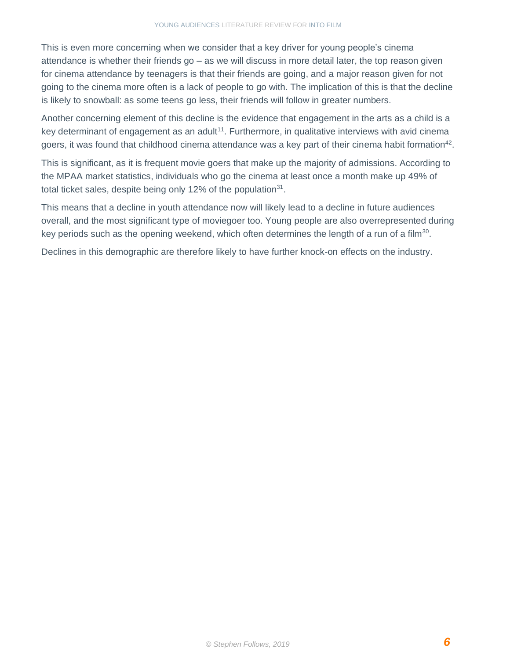This is even more concerning when we consider that a key driver for young people's cinema attendance is whether their friends go – as we will discuss in more detail later, the top reason given for cinema attendance by teenagers is that their friends are going, and a major reason given for not going to the cinema more often is a lack of people to go with. The implication of this is that the decline is likely to snowball: as some teens go less, their friends will follow in greater numbers.

Another concerning element of this decline is the evidence that engagement in the arts as a child is a key determinant of engagement as an adult<sup>11</sup>. Furthermore, in qualitative interviews with avid cinema goers, it was found that childhood cinema attendance was a key part of their cinema habit formation<sup>42</sup>.

This is significant, as it is frequent movie goers that make up the majority of admissions. According to the MPAA market statistics, individuals who go the cinema at least once a month make up 49% of total ticket sales, despite being only 12% of the population $31$ .

This means that a decline in youth attendance now will likely lead to a decline in future audiences overall, and the most significant type of moviegoer too. Young people are also overrepresented during key periods such as the opening weekend, which often determines the length of a run of a film<sup>30</sup>.

Declines in this demographic are therefore likely to have further knock-on effects on the industry.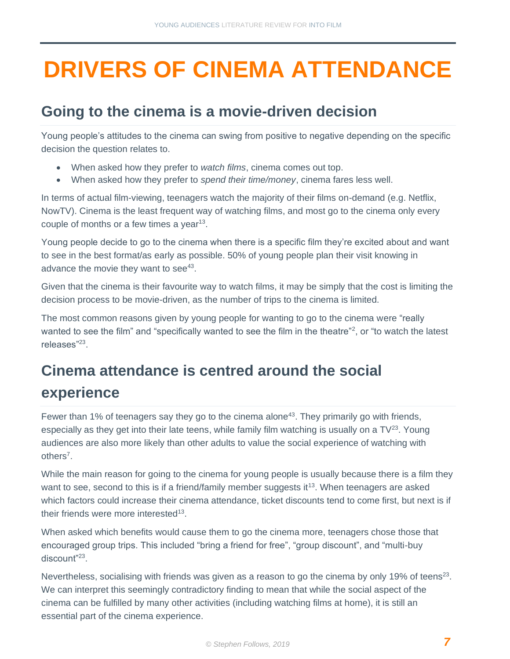# <span id="page-6-0"></span>**DRIVERS OF CINEMA ATTENDANCE**

### **Going to the cinema is a movie-driven decision**

Young people's attitudes to the cinema can swing from positive to negative depending on the specific decision the question relates to.

- When asked how they prefer to *watch films*, cinema comes out top.
- When asked how they prefer to *spend their time/money*, cinema fares less well.

In terms of actual film-viewing, teenagers watch the majority of their films on-demand (e.g. Netflix, NowTV). Cinema is the least frequent way of watching films, and most go to the cinema only every couple of months or a few times a year<sup>13</sup>.

Young people decide to go to the cinema when there is a specific film they're excited about and want to see in the best format/as early as possible. 50% of young people plan their visit knowing in advance the movie they want to see $43$ .

Given that the cinema is their favourite way to watch films, it may be simply that the cost is limiting the decision process to be movie-driven, as the number of trips to the cinema is limited.

The most common reasons given by young people for wanting to go to the cinema were "really wanted to see the film" and "specifically wanted to see the film in the theatre"<sup>2</sup>, or "to watch the latest releases"<sup>23</sup>.

# **Cinema attendance is centred around the social experience**

Fewer than 1% of teenagers say they go to the cinema alone<sup>43</sup>. They primarily go with friends, especially as they get into their late teens, while family film watching is usually on a  $TV^{23}$ . Young audiences are also more likely than other adults to value the social experience of watching with others<sup>7</sup>.

While the main reason for going to the cinema for young people is usually because there is a film they want to see, second to this is if a friend/family member suggests it<sup>13</sup>. When teenagers are asked which factors could increase their cinema attendance, ticket discounts tend to come first, but next is if their friends were more interested<sup>13</sup>.

When asked which benefits would cause them to go the cinema more, teenagers chose those that encouraged group trips. This included "bring a friend for free", "group discount", and "multi-buy discount"<sup>23</sup> .

Nevertheless, socialising with friends was given as a reason to go the cinema by only 19% of teens<sup>23</sup>. We can interpret this seemingly contradictory finding to mean that while the social aspect of the cinema can be fulfilled by many other activities (including watching films at home), it is still an essential part of the cinema experience.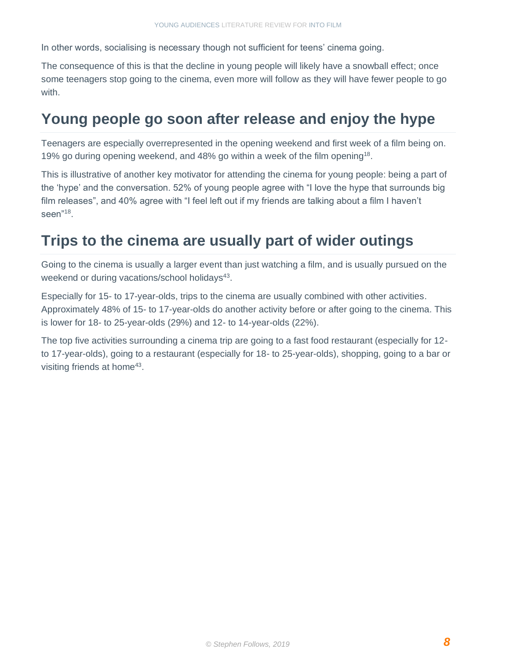In other words, socialising is necessary though not sufficient for teens' cinema going.

The consequence of this is that the decline in young people will likely have a snowball effect; once some teenagers stop going to the cinema, even more will follow as they will have fewer people to go with.

### **Young people go soon after release and enjoy the hype**

Teenagers are especially overrepresented in the opening weekend and first week of a film being on. 19% go during opening weekend, and 48% go within a week of the film opening<sup>18</sup>.

This is illustrative of another key motivator for attending the cinema for young people: being a part of the 'hype' and the conversation. 52% of young people agree with "I love the hype that surrounds big film releases", and 40% agree with "I feel left out if my friends are talking about a film I haven't seen"<sup>18</sup> .

#### **Trips to the cinema are usually part of wider outings**

Going to the cinema is usually a larger event than just watching a film, and is usually pursued on the weekend or during vacations/school holidays<sup>43</sup>.

Especially for 15- to 17-year-olds, trips to the cinema are usually combined with other activities. Approximately 48% of 15- to 17-year-olds do another activity before or after going to the cinema. This is lower for 18- to 25-year-olds (29%) and 12- to 14-year-olds (22%).

The top five activities surrounding a cinema trip are going to a fast food restaurant (especially for 12 to 17-year-olds), going to a restaurant (especially for 18- to 25-year-olds), shopping, going to a bar or visiting friends at home<sup>43</sup>.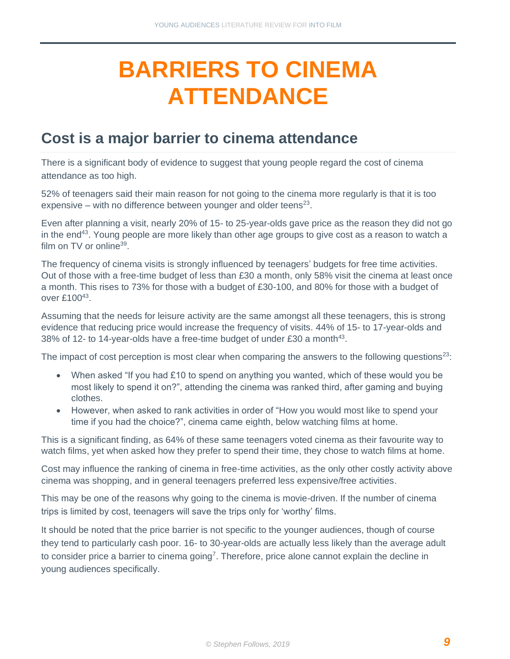# <span id="page-8-0"></span>**BARRIERS TO CINEMA ATTENDANCE**

#### **Cost is a major barrier to cinema attendance**

There is a significant body of evidence to suggest that young people regard the cost of cinema attendance as too high.

52% of teenagers said their main reason for not going to the cinema more regularly is that it is too expensive  $-$  with no difference between younger and older teens<sup>23</sup>.

Even after planning a visit, nearly 20% of 15- to 25-year-olds gave price as the reason they did not go in the end<sup>43</sup>. Young people are more likely than other age groups to give cost as a reason to watch a film on TV or online<sup>39</sup>.

The frequency of cinema visits is strongly influenced by teenagers' budgets for free time activities. Out of those with a free-time budget of less than £30 a month, only 58% visit the cinema at least once a month. This rises to 73% for those with a budget of £30-100, and 80% for those with a budget of over £10043.

Assuming that the needs for leisure activity are the same amongst all these teenagers, this is strong evidence that reducing price would increase the frequency of visits. 44% of 15- to 17-year-olds and 38% of 12- to 14-year-olds have a free-time budget of under  $£30$  a month<sup>43</sup>.

The impact of cost perception is most clear when comparing the answers to the following questions<sup>23</sup>:

- When asked "If you had £10 to spend on anything you wanted, which of these would you be most likely to spend it on?", attending the cinema was ranked third, after gaming and buying clothes.
- However, when asked to rank activities in order of "How you would most like to spend your time if you had the choice?", cinema came eighth, below watching films at home.

This is a significant finding, as 64% of these same teenagers voted cinema as their favourite way to watch films, yet when asked how they prefer to spend their time, they chose to watch films at home.

Cost may influence the ranking of cinema in free-time activities, as the only other costly activity above cinema was shopping, and in general teenagers preferred less expensive/free activities.

This may be one of the reasons why going to the cinema is movie-driven. If the number of cinema trips is limited by cost, teenagers will save the trips only for 'worthy' films.

It should be noted that the price barrier is not specific to the younger audiences, though of course they tend to particularly cash poor. 16- to 30-year-olds are actually less likely than the average adult to consider price a barrier to cinema going<sup>7</sup>. Therefore, price alone cannot explain the decline in young audiences specifically.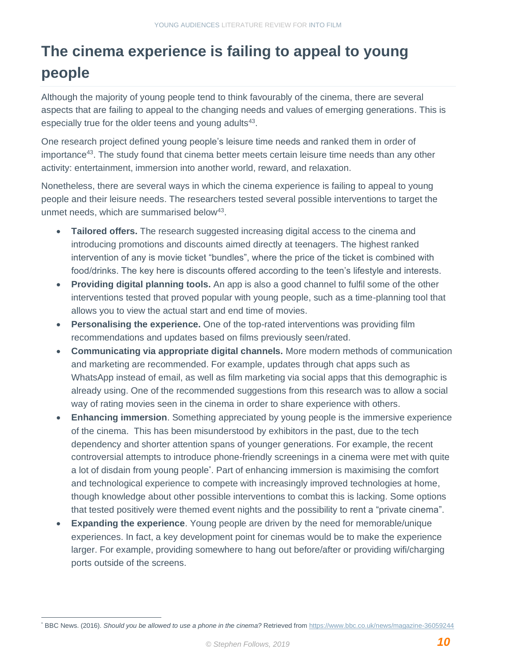# **The cinema experience is failing to appeal to young people**

Although the majority of young people tend to think favourably of the cinema, there are several aspects that are failing to appeal to the changing needs and values of emerging generations. This is especially true for the older teens and young adults<sup>43</sup>.

One research project defined young people's leisure time needs and ranked them in order of importance<sup>43</sup>. The study found that cinema better meets certain leisure time needs than any other activity: entertainment, immersion into another world, reward, and relaxation.

Nonetheless, there are several ways in which the cinema experience is failing to appeal to young people and their leisure needs. The researchers tested several possible interventions to target the unmet needs, which are summarised below<sup>43</sup>.

- **Tailored offers.** The research suggested increasing digital access to the cinema and introducing promotions and discounts aimed directly at teenagers. The highest ranked intervention of any is movie ticket "bundles", where the price of the ticket is combined with food/drinks. The key here is discounts offered according to the teen's lifestyle and interests.
- **Providing digital planning tools.** An app is also a good channel to fulfil some of the other interventions tested that proved popular with young people, such as a time-planning tool that allows you to view the actual start and end time of movies.
- **Personalising the experience.** One of the top-rated interventions was providing film recommendations and updates based on films previously seen/rated.
- **Communicating via appropriate digital channels.** More modern methods of communication and marketing are recommended. For example, updates through chat apps such as WhatsApp instead of email, as well as film marketing via social apps that this demographic is already using. One of the recommended suggestions from this research was to allow a social way of rating movies seen in the cinema in order to share experience with others.
- **Enhancing immersion**. Something appreciated by young people is the immersive experience of the cinema. This has been misunderstood by exhibitors in the past, due to the tech dependency and shorter attention spans of younger generations. For example, the recent controversial attempts to introduce phone-friendly screenings in a cinema were met with quite a lot of disdain from young people\* . Part of enhancing immersion is maximising the comfort and technological experience to compete with increasingly improved technologies at home, though knowledge about other possible interventions to combat this is lacking. Some options that tested positively were themed event nights and the possibility to rent a "private cinema".
- **Expanding the experience**. Young people are driven by the need for memorable/unique experiences. In fact, a key development point for cinemas would be to make the experience larger. For example, providing somewhere to hang out before/after or providing wifi/charging ports outside of the screens.

<sup>\*</sup> BBC News. (2016). *Should you be allowed to use a phone in the cinema?* Retrieved from<https://www.bbc.co.uk/news/magazine-36059244>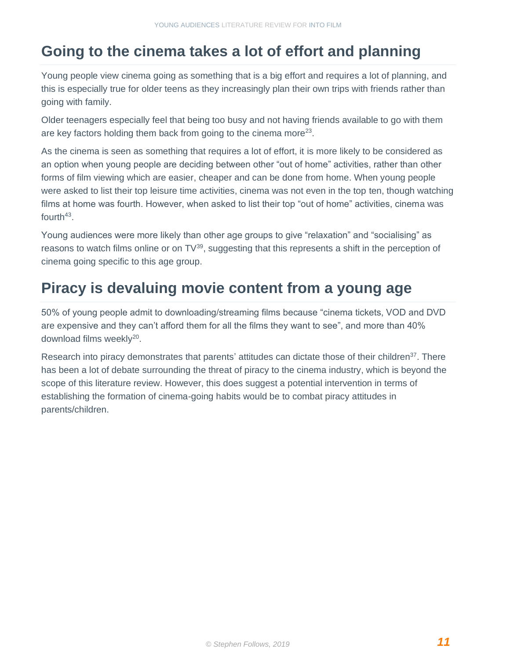### **Going to the cinema takes a lot of effort and planning**

Young people view cinema going as something that is a big effort and requires a lot of planning, and this is especially true for older teens as they increasingly plan their own trips with friends rather than going with family.

Older teenagers especially feel that being too busy and not having friends available to go with them are key factors holding them back from going to the cinema more<sup>23</sup>.

As the cinema is seen as something that requires a lot of effort, it is more likely to be considered as an option when young people are deciding between other "out of home" activities, rather than other forms of film viewing which are easier, cheaper and can be done from home. When young people were asked to list their top leisure time activities, cinema was not even in the top ten, though watching films at home was fourth. However, when asked to list their top "out of home" activities, cinema was fourth $43$ .

Young audiences were more likely than other age groups to give "relaxation" and "socialising" as reasons to watch films online or on TV<sup>39</sup>, suggesting that this represents a shift in the perception of cinema going specific to this age group.

### **Piracy is devaluing movie content from a young age**

50% of young people admit to downloading/streaming films because "cinema tickets, VOD and DVD are expensive and they can't afford them for all the films they want to see", and more than 40% download films weekly<sup>20</sup>.

Research into piracy demonstrates that parents' attitudes can dictate those of their children<sup>37</sup>. There has been a lot of debate surrounding the threat of piracy to the cinema industry, which is beyond the scope of this literature review. However, this does suggest a potential intervention in terms of establishing the formation of cinema-going habits would be to combat piracy attitudes in parents/children.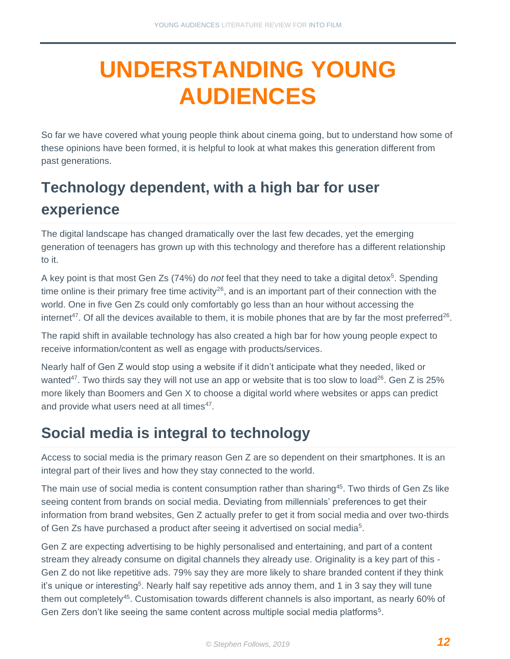# <span id="page-11-0"></span>**UNDERSTANDING YOUNG AUDIENCES**

So far we have covered what young people think about cinema going, but to understand how some of these opinions have been formed, it is helpful to look at what makes this generation different from past generations.

# **Technology dependent, with a high bar for user experience**

The digital landscape has changed dramatically over the last few decades, yet the emerging generation of teenagers has grown up with this technology and therefore has a different relationship to it.

A key point is that most Gen Zs (74%) do *not* feel that they need to take a digital detox<sup>5</sup>. Spending time online is their primary free time activity<sup>26</sup>, and is an important part of their connection with the world. One in five Gen Zs could only comfortably go less than an hour without accessing the internet<sup>47</sup>. Of all the devices available to them, it is mobile phones that are by far the most preferred<sup>26</sup>.

The rapid shift in available technology has also created a high bar for how young people expect to receive information/content as well as engage with products/services.

Nearly half of Gen Z would stop using a website if it didn't anticipate what they needed, liked or wanted<sup>47</sup>. Two thirds say they will not use an app or website that is too slow to load<sup>26</sup>. Gen Z is 25% more likely than Boomers and Gen X to choose a digital world where websites or apps can predict and provide what users need at all times<sup>47</sup>.

### **Social media is integral to technology**

Access to social media is the primary reason Gen Z are so dependent on their smartphones. It is an integral part of their lives and how they stay connected to the world.

The main use of social media is content consumption rather than sharing<sup>45</sup>. Two thirds of Gen Zs like seeing content from brands on social media. Deviating from millennials' preferences to get their information from brand websites, Gen Z actually prefer to get it from social media and over two-thirds of Gen Zs have purchased a product after seeing it advertised on social media<sup>5</sup>.

Gen Z are expecting advertising to be highly personalised and entertaining, and part of a content stream they already consume on digital channels they already use. Originality is a key part of this - Gen Z do not like repetitive ads. 79% say they are more likely to share branded content if they think it's unique or interesting<sup>5</sup>. Nearly half say repetitive ads annoy them, and 1 in 3 say they will tune them out completely<sup>45</sup>. Customisation towards different channels is also important, as nearly 60% of Gen Zers don't like seeing the same content across multiple social media platforms<sup>5</sup>.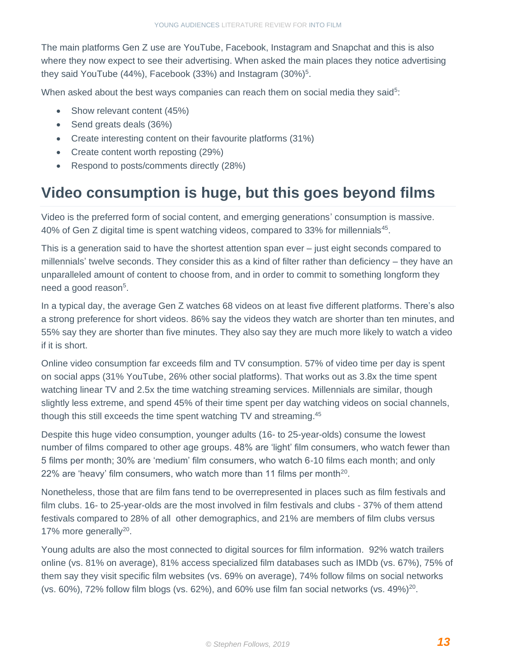The main platforms Gen Z use are YouTube, Facebook, Instagram and Snapchat and this is also where they now expect to see their advertising. When asked the main places they notice advertising they said YouTube (44%), Facebook (33%) and Instagram  $(30\%)^5$ .

When asked about the best ways companies can reach them on social media they said<sup>5</sup>:

- Show relevant content (45%)
- Send greats deals (36%)
- Create interesting content on their favourite platforms (31%)
- Create content worth reposting (29%)
- Respond to posts/comments directly (28%)

### **Video consumption is huge, but this goes beyond films**

Video is the preferred form of social content, and emerging generations' consumption is massive. 40% of Gen Z digital time is spent watching videos, compared to 33% for millennials<sup>45</sup>.

This is a generation said to have the shortest attention span ever – just eight seconds compared to millennials' twelve seconds. They consider this as a kind of filter rather than deficiency – they have an unparalleled amount of content to choose from, and in order to commit to something longform they need a good reason<sup>5</sup>.

In a typical day, the average Gen Z watches 68 videos on at least five different platforms. There's also a strong preference for short videos. 86% say the videos they watch are shorter than ten minutes, and 55% say they are shorter than five minutes. They also say they are much more likely to watch a video if it is short.

Online video consumption far exceeds film and TV consumption. 57% of video time per day is spent on social apps (31% YouTube, 26% other social platforms). That works out as 3.8x the time spent watching linear TV and 2.5x the time watching streaming services. Millennials are similar, though slightly less extreme, and spend 45% of their time spent per day watching videos on social channels, though this still exceeds the time spent watching TV and streaming.<sup>45</sup>

Despite this huge video consumption, younger adults (16- to 25-year-olds) consume the lowest number of films compared to other age groups. 48% are 'light' film consumers, who watch fewer than 5 films per month; 30% are 'medium' film consumers, who watch 6-10 films each month; and only 22% are 'heavy' film consumers, who watch more than 11 films per month<sup>20</sup>.

Nonetheless, those that are film fans tend to be overrepresented in places such as film festivals and film clubs. 16- to 25-year-olds are the most involved in film festivals and clubs - 37% of them attend festivals compared to 28% of all other demographics, and 21% are members of film clubs versus 17% more generally<sup>20</sup>.

Young adults are also the most connected to digital sources for film information. 92% watch trailers online (vs. 81% on average), 81% access specialized film databases such as IMDb (vs. 67%), 75% of them say they visit specific film websites (vs. 69% on average), 74% follow films on social networks (vs. 60%), 72% follow film blogs (vs. 62%), and 60% use film fan social networks (vs. 49%) $^{20}$ .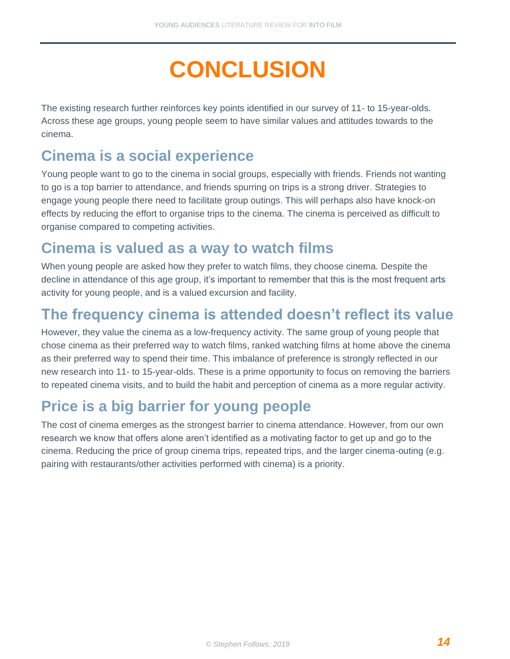# **CONCLUSION**

<span id="page-13-0"></span>The existing research further reinforces key points identified in our survey of 11- to 15-year-olds. Across these age groups, young people seem to have similar values and attitudes towards to the cinema.

### **Cinema is a social experience**

Young people want to go to the cinema in social groups, especially with friends. Friends not wanting to go is a top barrier to attendance, and friends spurring on trips is a strong driver. Strategies to engage young people there need to facilitate group outings. This will perhaps also have knock-on effects by reducing the effort to organise trips to the cinema. The cinema is perceived as difficult to organise compared to competing activities.

### **Cinema is valued as a way to watch films**

When young people are asked how they prefer to watch films, they choose cinema. Despite the decline in attendance of this age group, it's important to remember that this is the most frequent arts activity for young people, and is a valued excursion and facility.

### **The frequency cinema is attended doesn't reflect its value**

However, they value the cinema as a low-frequency activity. The same group of young people that chose cinema as their preferred way to watch films, ranked watching films at home above the cinema as their preferred way to spend their time. This imbalance of preference is strongly reflected in our new research into 11- to 15-year-olds. These is a prime opportunity to focus on removing the barriers to repeated cinema visits, and to build the habit and perception of cinema as a more regular activity.

## **Price is a big barrier for young people**

The cost of cinema emerges as the strongest barrier to cinema attendance. However, from our own research we know that offers alone aren't identified as a motivating factor to get up and go to the cinema. Reducing the price of group cinema trips, repeated trips, and the larger cinema-outing (e.g. pairing with restaurants/other activities performed with cinema) is a priority.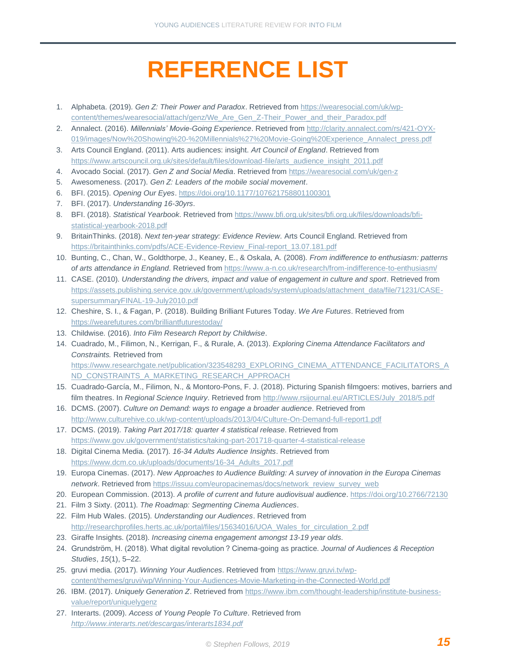# **REFERENCE LIST**

- <span id="page-14-0"></span>1. Alphabeta. (2019). *Gen Z: Their Power and Paradox*. Retrieved from [https://wearesocial.com/uk/wp](https://wearesocial.com/uk/wp-content/themes/wearesocial/attach/genz/We_Are_Gen_Z-Their_Power_and_their_Paradox.pdf)[content/themes/wearesocial/attach/genz/We\\_Are\\_Gen\\_Z-Their\\_Power\\_and\\_their\\_Paradox.pdf](https://wearesocial.com/uk/wp-content/themes/wearesocial/attach/genz/We_Are_Gen_Z-Their_Power_and_their_Paradox.pdf)
- 2. Annalect. (2016). *Millennials' Movie-Going Experience*. Retrieved from [http://clarity.annalect.com/rs/421-OYX-](http://clarity.annalect.com/rs/421-OYX-019/images/Now%20Showing%20-%20Millennials%27%20Movie-Going%20Experience_Annalect_press.pdf)[019/images/Now%20Showing%20-%20Millennials%27%20Movie-Going%20Experience\\_Annalect\\_press.pdf](http://clarity.annalect.com/rs/421-OYX-019/images/Now%20Showing%20-%20Millennials%27%20Movie-Going%20Experience_Annalect_press.pdf)
- 3. Arts Council England. (2011). Arts audiences: insight. *Art Council of England*. Retrieved from [https://www.artscouncil.org.uk/sites/default/files/download-file/arts\\_audience\\_insight\\_2011.pdf](https://www.artscouncil.org.uk/sites/default/files/download-file/arts_audience_insight_2011.pdf)
- 4. Avocado Social. (2017). *Gen Z and Social Media*. Retrieved from<https://wearesocial.com/uk/gen-z>
- 5. Awesomeness. (2017). *Gen Z: Leaders of the mobile social movement*.
- 6. BFI. (2015). *Opening Our Eyes*[. https://doi.org/10.1177/107621758801100301](https://doi.org/10.1177/107621758801100301)
- 7. BFI. (2017). *Understanding 16-30yrs*.
- 8. BFI. (2018). *Statistical Yearbook*. Retrieved fro[m https://www.bfi.org.uk/sites/bfi.org.uk/files/downloads/bfi](https://www.bfi.org.uk/sites/bfi.org.uk/files/downloads/bfi-statistical-yearbook-2018.pdf)[statistical-yearbook-2018.pdf](https://www.bfi.org.uk/sites/bfi.org.uk/files/downloads/bfi-statistical-yearbook-2018.pdf)
- 9. BritainThinks. (2018). *Next ten-year strategy: Evidence Review*. Arts Council England. Retrieved from [https://britainthinks.com/pdfs/ACE-Evidence-Review\\_Final-report\\_13.07.181.pdf](https://britainthinks.com/pdfs/ACE-Evidence-Review_Final-report_13.07.181.pdf)
- 10. Bunting, C., Chan, W., Goldthorpe, J., Keaney, E., & Oskala, A. (2008). *From indifference to enthusiasm: patterns of arts attendance in England*. Retrieved from<https://www.a-n.co.uk/research/from-indifference-to-enthusiasm/>
- 11. CASE. (2010). *Understanding the drivers, impact and value of engagement in culture and sport*. Retrieved from [https://assets.publishing.service.gov.uk/government/uploads/system/uploads/attachment\\_data/file/71231/CASE](https://assets.publishing.service.gov.uk/government/uploads/system/uploads/attachment_data/file/71231/CASE-supersummaryFINAL-19-July2010.pdf)[supersummaryFINAL-19-July2010.pdf](https://assets.publishing.service.gov.uk/government/uploads/system/uploads/attachment_data/file/71231/CASE-supersummaryFINAL-19-July2010.pdf)
- 12. Cheshire, S. I., & Fagan, P. (2018). Building Brilliant Futures Today. *We Are Futures*. Retrieved from <https://wearefutures.com/brilliantfuturestoday/>
- 13. Childwise. (2016). *Into Film Research Report by Childwise*.
- 14. Cuadrado, M., Filimon, N., Kerrigan, F., & Rurale, A. (2013). *Exploring Cinema Attendance Facilitators and Constraints.* Retrieved from [https://www.researchgate.net/publication/323548293\\_EXPLORING\\_CINEMA\\_ATTENDANCE\\_FACILITATORS\\_A](https://www.researchgate.net/publication/323548293_EXPLORING_CINEMA_ATTENDANCE_FACILITATORS_AND_CONSTRAINTS_A_MARKETING_RESEARCH_APPROACH) [ND\\_CONSTRAINTS\\_A\\_MARKETING\\_RESEARCH\\_APPROACH](https://www.researchgate.net/publication/323548293_EXPLORING_CINEMA_ATTENDANCE_FACILITATORS_AND_CONSTRAINTS_A_MARKETING_RESEARCH_APPROACH)
- 15. Cuadrado-García, M., Filimon, N., & Montoro-Pons, F. J. (2018). Picturing Spanish filmgoers: motives, barriers and film theatres. In *Regional Science Inquiry*. Retrieved from [http://www.rsijournal.eu/ARTICLES/July\\_2018/5.pdf](http://www.rsijournal.eu/ARTICLES/July_2018/5.pdf)
- 16. DCMS. (2007). *Culture on Demand: ways to engage a broader audience*. Retrieved from <http://www.culturehive.co.uk/wp-content/uploads/2013/04/Culture-On-Demand-full-report1.pdf>
- 17. DCMS. (2019). *Taking Part 2017/18: quarter 4 statistical release*. Retrieved from <https://www.gov.uk/government/statistics/taking-part-201718-quarter-4-statistical-release>
- 18. Digital Cinema Media. (2017). *16-34 Adults Audience Insights*. Retrieved from [https://www.dcm.co.uk/uploads/documents/16-34\\_Adults\\_2017.pdf](https://www.dcm.co.uk/uploads/documents/16-34_Adults_2017.pdf)
- 19. Europa Cinemas. (2017). *New Approaches to Audience Building: A survey of innovation in the Europa Cinemas network*. Retrieved fro[m https://issuu.com/europacinemas/docs/network\\_review\\_survey\\_web](https://issuu.com/europacinemas/docs/network_review_survey_web)
- 20. European Commission. (2013). *A profile of current and future audiovisual audience*.<https://doi.org/10.2766/72130>
- 21. Film 3 Sixty. (2011). *The Roadmap: Segmenting Cinema Audiences*.
- 22. Film Hub Wales. (2015). *Understanding our Audiences*. Retrieved from [http://researchprofiles.herts.ac.uk/portal/files/15634016/UOA\\_Wales\\_for\\_circulation\\_2.pdf](http://researchprofiles.herts.ac.uk/portal/files/15634016/UOA_Wales_for_circulation_2.pdf)
- 23. Giraffe Insights. (2018). *Increasing cinema engagement amongst 13-19 year olds*.
- 24. Grundström, H. (2018). What digital revolution ? Cinema-going as practice. *Journal of Audiences & Reception Studies*, *15*(1), 5–22.
- 25. gruvi media. (2017). *Winning Your Audiences*. Retrieved from [https://www.gruvi.tv/wp](https://www.gruvi.tv/wp-content/themes/gruvi/wp/Winning-Your-Audiences-Movie-Marketing-in-the-Connected-World.pdf)[content/themes/gruvi/wp/Winning-Your-Audiences-Movie-Marketing-in-the-Connected-World.pdf](https://www.gruvi.tv/wp-content/themes/gruvi/wp/Winning-Your-Audiences-Movie-Marketing-in-the-Connected-World.pdf)
- 26. IBM. (2017). *Uniquely Generation Z*. Retrieved from [https://www.ibm.com/thought-leadership/institute-business](https://www.ibm.com/thought-leadership/institute-business-value/report/uniquelygenz)[value/report/uniquelygenz](https://www.ibm.com/thought-leadership/institute-business-value/report/uniquelygenz)
- 27. Interarts. (2009). *Access of Young People To Culture*. Retrieved from *<http://www.interarts.net/descargas/interarts1834.pdf>*